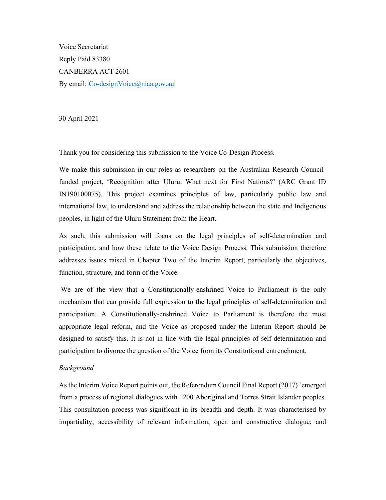Voice Secretariat Reply Paid 83380 CANBERRA ACT 2601 By email: Co-designVoice@niaa.gov.au

30 April 2021

Thank you for considering this submission to the Voice Co-Design Process.

 We make this submission in our roles as researchers on the Australian Research Council- funded project, 'Recognition after Uluru: What next for First Nations?' (ARC Grant ID IN190100075). This project examines principles of law, particularly public law and international law, to understand and address the relationship between the state and Indigenous peoples, in light of the Uluru Statement from the Heart.

 As such, this submission will focus on the legal principles of self-determination and participation, and how these relate to the Voice Design Process. This submission therefore addresses issues raised in Chapter Two of the Interim Report, particularly the objectives, function, structure, and form of the Voice.

 We are of the view that a Constitutionally-enshrined Voice to Parliament is the only mechanism that can provide full expression to the legal principles of self-determination and participation. A Constitutionally-enshrined Voice to Parliament is therefore the most appropriate legal reform, and the Voice as proposed under the Interim Report should be designed to satisfy this. It is not in line with the legal principles of self-determination and participation to divorce the question of the Voice from its Constitutional entrenchment.

## **Background**

 As the Interim Voice Report points out, the Referendum Council Final Report (2017) 'emerged from a process of regional dialogues with 1200 Aboriginal and Torres Strait Islander peoples. This consultation process was significant in its breadth and depth. It was characterised by impartiality; accessibility of relevant information; open and constructive dialogue; and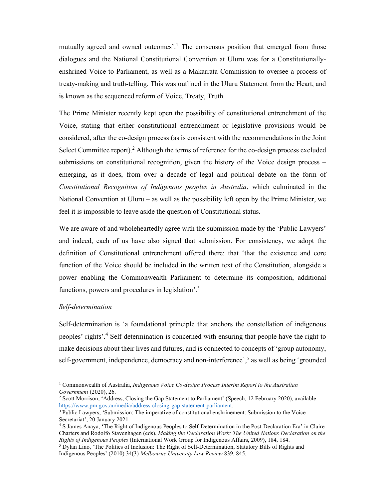mutually agreed and owned outcomes'.<sup>1</sup> The consensus position that emerged from those dialogues and the National Constitutional Convention at Uluru was for a Constitutionally- enshrined Voice to Parliament, as well as a Makarrata Commission to oversee a process of treaty-making and truth-telling. This was outlined in the Uluru Statement from the Heart, and is known as the sequenced reform of Voice, Treaty, Truth.

 The Prime Minister recently kept open the possibility of constitutional entrenchment of the Voice, stating that either constitutional entrenchment or legislative provisions would be considered, after the co-design process (as is consistent with the recommendations in the Joint Select Committee report). $2$  Although the terms of reference for the co-design process excluded submissions on constitutional recognition, given the history of the Voice design process – emerging, as it does, from over a decade of legal and political debate on the form of Constitutional Recognition of Indigenous peoples in Australia, which culminated in the National Convention at Uluru – as well as the possibility left open by the Prime Minister, we feel it is impossible to leave aside the question of Constitutional status.

 We are aware of and wholeheartedly agree with the submission made by the 'Public Lawyers' and indeed, each of us have also signed that submission. For consistency, we adopt the definition of Constitutional entrenchment offered there: that 'that the existence and core function of the Voice should be included in the written text of the Constitution, alongside a power enabling the Commonwealth Parliament to determine its composition, additional functions, powers and procedures in legislation'.<sup>3</sup>

## Self-determination

 Self-determination is 'a foundational principle that anchors the constellation of indigenous peoples' rights'.<sup>4</sup> Self-determination is concerned with ensuring that people have the right to make decisions about their lives and futures, and is connected to concepts of 'group autonomy, self-government, independence, democracy and non-interference',<sup>5</sup> as well as being 'grounded

<sup>&</sup>lt;sup>1</sup> Commonwealth of Australia, *Indigenous Voice Co-design Process Interim Report to the Australian* Government (2020), 26. Government (2020), 26.<br><sup>2</sup> Scott Morrison, 'Address, Closing the Gap Statement to Parliament' (Speech, 12 February 2020), available:

https://www.pm.gov.au/media/address-closing-gap-statement-parliament.

<sup>&</sup>lt;sup>3</sup> Public Lawyers, 'Submission: The imperative of constitutional enshrinement: Submission to the Voice Secretariat', 20 January 2021

 4 S James Anaya, 'The Right of Indigenous Peoples to Self-Determination in the Post-Declaration Era' in Claire Charters and Rodolfo Stavenhagen (eds), Making the Declaration Work: The United Nations Declaration on the Rights of Indigenous Peoples (International Work Group for Indigenous Affairs, 2009), 184, 184. Rights of Indigenous Peoples (International Work Group for Indigenous Affairs, 2009), 184, 184. The Politics of Inclusion: The Right of Self-Determination, Statutory Bills of Rights and

 Indigenous Peoples' (2010) 34(3) Melbourne University Law Review 839, 845.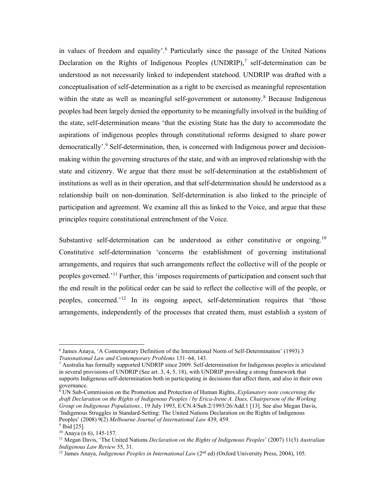in values of freedom and equality'.<sup>6</sup> Particularly since the passage of the United Nations Declaration on the Rights of Indigenous Peoples (UNDRIP),<sup>7</sup> self-determination can be understood as not necessarily linked to independent statehood. UNDRIP was drafted with a conceptualisation of self-determination as a right to be exercised as meaningful representation within the state as well as meaningful self-government or autonomy.<sup>8</sup> Because Indigenous peoples had been largely denied the opportunity to be meaningfully involved in the building of the state, self-determination means 'that the existing State has the duty to accommodate the aspirations of indigenous peoples through constitutional reforms designed to share power democratically'.<sup>9</sup> Self-determination, then, is concerned with Indigenous power and decision- making within the governing structures of the state, and with an improved relationship with the state and citizenry. We argue that there must be self-determination at the establishment of institutions as well as in their operation, and that self-determination should be understood as a relationship built on non-domination. Self-determination is also linked to the principle of participation and agreement. We examine all this as linked to the Voice, and argue that these principles require constitutional entrenchment of the Voice.

Substantive self-determination can be understood as either constitutive or ongoing.<sup>10</sup> Constitutive self-determination 'concerns the establishment of governing institutional arrangements, and requires that such arrangements reflect the collective will of the people or peoples governed.<sup>'11</sup> Further, this 'imposes requirements of participation and consent such that the end result in the political order can be said to reflect the collective will of the people, or peoples, concerned.<sup>'12</sup> In its ongoing aspect, self-determination requires that 'those arrangements, independently of the processes that created them, must establish a system of

 $8 \text{ UN Sub-Commission on the Promotion and Protection of Human Rights, *Explanatory note concerning the*$  draft Declaration on the Rights of Indigenous Peoples / by Erica-Irene A. Daes, Chairperson of the Working Group on Indigenous Populations., 19 July 1993, E/CN.4/Sub.2/1993/26/Add.1 [13]. See also Megan Davis, 'Indigenous Struggles in Standard-Setting: The United Nations Declaration on the Rights of Indigenous Peoples' (2008) 9(2) Melbourne Journal of International Law 439, 459.

 6 James Anaya, 'A Contemporary Definition of the International Norm of Self-Determination' (1993) 3 Transnational Law and Contemporary Problems 131–64, 143.

 7 Australia has formally supported UNDRIP since 2009. Self-determination for Indigenous peoples is articulated in several provisions of UNDRIP (See art. 3, 4, 5, 18), with UNDRIP providing a strong framework that supports Indigenous self-determination both in participating in decisions that affect them, and also in their own governance.

 $9$  Ibid [25].  $10$  Anaya (n 6), 145-157.

<sup>&</sup>lt;sup>11</sup> Megan Davis, 'The United Nations *Declaration on the Rights of Indigenous Peoples*' (2007) 11(3) Australian Indigenous Law Review 55, 31.

<sup>&</sup>lt;sup>12</sup> James Anaya, *Indigenous Peoples in International Law* ( $2<sup>nd</sup>$  ed) (Oxford University Press, 2004), 105.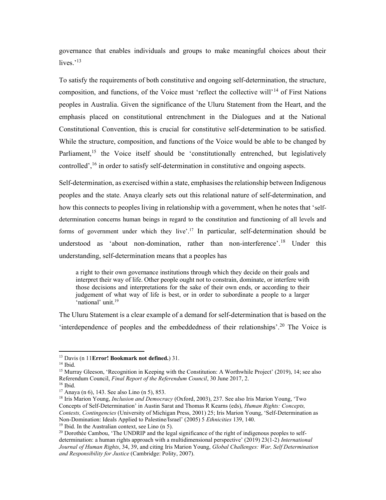governance that enables individuals and groups to make meaningful choices about their lives. $13$ 

 To satisfy the requirements of both constitutive and ongoing self-determination, the structure, composition, and functions, of the Voice must 'reflect the collective will'<sup>14</sup> of First Nations peoples in Australia. Given the significance of the Uluru Statement from the Heart, and the emphasis placed on constitutional entrenchment in the Dialogues and at the National Constitutional Convention, this is crucial for constitutive self-determination to be satisfied. While the structure, composition, and functions of the Voice would be able to be changed by Parliament,<sup>15</sup> the Voice itself should be 'constitutionally entrenched, but legislatively controlled',  $^{16}$  in order to satisfy self-determination in constitutive and ongoing aspects.

 Self-determination, as exercised within a state, emphasises the relationship between Indigenous peoples and the state. Anaya clearly sets out this relational nature of self-determination, and how this connects to peoples living in relationship with a government, when he notes that 'self- determination concerns human beings in regard to the constitution and functioning of all levels and forms of government under which they live'.<sup>17</sup> In particular, self-determination should be understood as 'about non-domination, rather than non-interference'.<sup>18</sup> Under this understanding, self-determination means that a peoples has

 a right to their own governance institutions through which they decide on their goals and interpret their way of life. Other people ought not to constrain, dominate, or interfere with those decisions and interpretations for the sake of their own ends, or according to their judgement of what way of life is best, or in order to subordinate a people to a larger 'national' unit.<sup>19</sup>

 The Uluru Statement is a clear example of a demand for self-determination that is based on the 'interdependence of peoples and the embeddedness of their relationships'.<sup>20</sup> The Voice is

<sup>19</sup> Ibid. In the Australian context, see Lino  $(n 5)$ .

<sup>&</sup>lt;sup>13</sup> Davis (n 11Error! Bookmark not defined.) 31.

 14 Ibid.

<sup>&</sup>lt;sup>15</sup> Murray Gleeson, 'Recognition in Keeping with the Constitution: A Worthwhile Project' (2019), 14; see also Referendum Council, Final Report of the Referendum Council, 30 June 2017, 2.

 16 Ibid.

 $17$  Anaya (n 6), 143. See also Lino (n 5), 853.

<sup>&</sup>lt;sup>18</sup> Iris Marion Young, *Inclusion and Democracy* (Oxford, 2003), 237. See also Iris Marion Young, 'Two Concepts of Self-Determination' in Austin Sarat and Thomas R Kearns (eds), Human Rights: Concepts, Contests, Contingencies (University of Michigan Press, 2001) 25; Iris Marion Young, 'Self-Determination as Non-Domination: Ideals Applied to Palestine/Israel' (2005) 5 Ethnicities 139, 140.

determination: a human rights approach with a multidimensional perspective' (2019) 23(1-2) International Journal of Human Rights, 34, 39, and citing Iris Marion Young, Global Challenges: War, Self Determination and Responsibility for Justice (Cambridge: Polity, 2007). <sup>20</sup> Dorothée Cambou, 'The UNDRIP and the legal significance of the right of indigenous peoples to self-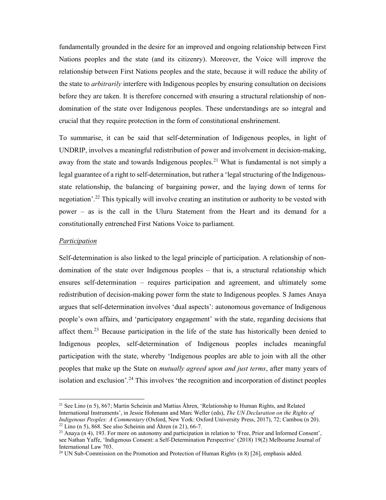fundamentally grounded in the desire for an improved and ongoing relationship between First Nations peoples and the state (and its citizenry). Moreover, the Voice will improve the relationship between First Nations peoples and the state, because it will reduce the ability of the state to *arbitrarily* interfere with Indigenous peoples by ensuring consultation on decisions before they are taken. It is therefore concerned with ensuring a structural relationship of non- domination of the state over Indigenous peoples. These understandings are so integral and crucial that they require protection in the form of constitutional enshrinement.

 To summarise, it can be said that self-determination of Indigenous peoples, in light of UNDRIP, involves a meaningful redistribution of power and involvement in decision-making, away from the state and towards Indigenous peoples.<sup>21</sup> What is fundamental is not simply a legal guarantee of a right to self-determination, but rather a 'legal structuring of the Indigenous- state relationship, the balancing of bargaining power, and the laying down of terms for negotiation'.<sup>22</sup> This typically will involve creating an institution or authority to be vested with power – as is the call in the Uluru Statement from the Heart and its demand for a constitutionally entrenched First Nations Voice to parliament.

## Participation

 Self-determination is also linked to the legal principle of participation. A relationship of non- domination of the state over Indigenous peoples – that is, a structural relationship which ensures self-determination – requires participation and agreement, and ultimately some redistribution of decision-making power form the state to Indigenous peoples. S James Anaya argues that self-determination involves 'dual aspects': autonomous governance of Indigenous people's own affairs, and 'participatory engagement' with the state, regarding decisions that affect them.<sup>23</sup> Because participation in the life of the state has historically been denied to Indigenous peoples, self-determination of Indigenous peoples includes meaningful participation with the state, whereby 'Indigenous peoples are able to join with all the other peoples that make up the State on *mutually agreed upon and just terms*, after many years of isolation and exclusion'.<sup>24</sup> This involves 'the recognition and incorporation of distinct peoples

<sup>&</sup>lt;sup>21</sup> See Lino (n 5), 867; Martin Scheinin and Mattias Åhren, 'Relationship to Human Rights, and Related International Instruments', in Jessie Hohmann and Marc Weller (eds), The UN Declaration on the Rights of Indigenous Peoples: A Commentary (Oxford, New York: Oxford University Press, 2017), 72; Cambou (n 20).  $22$  Lino (n 5), 868. See also Scheinin and Åhren (n 21), 66-7.

 see Nathan Yaffe, 'Indigenous Consent: a Self-Determination Perspective' (2018) 19(2) Melbourne Journal of International Law 703. <sup>23</sup> Anaya (n 4), 193. For more on autonomy and participation in relation to 'Free, Prior and Informed Consent',

<sup>&</sup>lt;sup>24</sup> UN Sub-Commission on the Promotion and Protection of Human Rights (n 8) [26], emphasis added.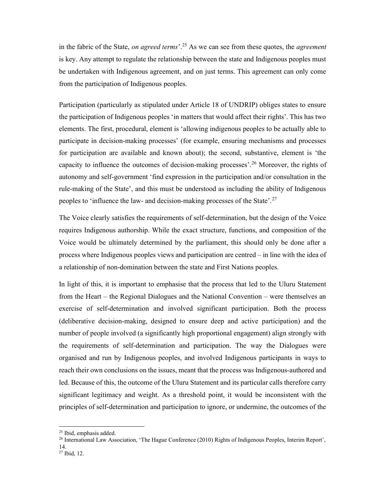in the fabric of the State, on agreed terms'.<sup>25</sup> As we can see from these quotes, the agreement is key. Any attempt to regulate the relationship between the state and Indigenous peoples must be undertaken with Indigenous agreement, and on just terms. This agreement can only come from the participation of Indigenous peoples.

 Participation (particularly as stipulated under Article 18 of UNDRIP) obliges states to ensure the participation of Indigenous peoples 'in matters that would affect their rights'. This has two elements. The first, procedural, element is 'allowing indigenous peoples to be actually able to participate in decision-making processes' (for example, ensuring mechanisms and processes for participation are available and known about); the second, substantive, element is 'the capacity to influence the outcomes of decision-making processes'.<sup>26</sup> Moreover, the rights of autonomy and self-government 'find expression in the participation and/or consultation in the rule-making of the State', and this must be understood as including the ability of Indigenous peoples to 'influence the law- and decision-making processes of the State'.<sup>27</sup>

 The Voice clearly satisfies the requirements of self-determination, but the design of the Voice requires Indigenous authorship. While the exact structure, functions, and composition of the Voice would be ultimately determined by the parliament, this should only be done after a process where Indigenous peoples views and participation are centred – in line with the idea of a relationship of non-domination between the state and First Nations peoples.

 In light of this, it is important to emphasise that the process that led to the Uluru Statement from the Heart – the Regional Dialogues and the National Convention – were themselves an exercise of self-determination and involved significant participation. Both the process (deliberative decision-making, designed to ensure deep and active participation) and the number of people involved (a significantly high proportional engagement) align strongly with the requirements of self-determination and participation. The way the Dialogues were organised and run by Indigenous peoples, and involved Indigenous participants in ways to reach their own conclusions on the issues, meant that the process was Indigenous-authored and led. Because of this, the outcome of the Uluru Statement and its particular calls therefore carry significant legitimacy and weight. As a threshold point, it would be inconsistent with the principles of self-determination and participation to ignore, or undermine, the outcomes of the

<sup>&</sup>lt;sup>25</sup> Ibid, emphasis added.

<sup>&</sup>lt;sup>26</sup> International Law Association, 'The Hague Conference (2010) Rights of Indigenous Peoples, Interim Report', 14.

<sup>27</sup> Ibid, 12.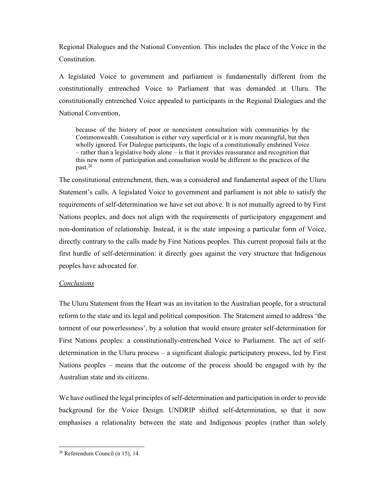Regional Dialogues and the National Convention. This includes the place of the Voice in the Constitution.

Constitution.<br>A legislated Voice to government and parliament is fundamentally different from the constitutionally entrenched Voice to Parliament that was demanded at Uluru. The constitutionally entrenched Voice appealed to participants in the Regional Dialogues and the National Convention,

 because of the history of poor or nonexistent consultation with communities by the Commonwealth. Consultation is either very superficial or it is more meaningful, but then wholly ignored. For Dialogue participants, the logic of a constitutionally enshrined Voice – rather than a legislative body alone – is that it provides reassurance and recognition that this new norm of participation and consultation would be different to the practices of the past.28

 The constitutional entrenchment, then, was a considered and fundamental aspect of the Uluru Statement's calls. A legislated Voice to government and parliament is not able to satisfy the requirements of self-determination we have set out above. It is not mutually agreed to by First Nations peoples, and does not align with the requirements of participatory engagement and non-domination of relationship. Instead, it is the state imposing a particular form of Voice, directly contrary to the calls made by First Nations peoples. This current proposal fails at the first hurdle of self-determination: it directly goes against the very structure that Indigenous peoples have advocated for.

## Conclusions

 The Uluru Statement from the Heart was an invitation to the Australian people, for a structural reform to the state and its legal and political composition. The Statement aimed to address 'the torment of our powerlessness', by a solution that would ensure greater self-determination for First Nations peoples: a constitutionally-entrenched Voice to Parliament. The act of self- determination in the Uluru process – a significant dialogic participatory process, led by First Nations peoples – means that the outcome of the process should be engaged with by the Australian state and its citizens.

 We have outlined the legal principles of self-determination and participation in order to provide background for the Voice Design. UNDRIP shifted self-determination, so that it now emphasises a relationality between the state and Indigenous peoples (rather than solely

 28 Referendum Council (n 15), 14.